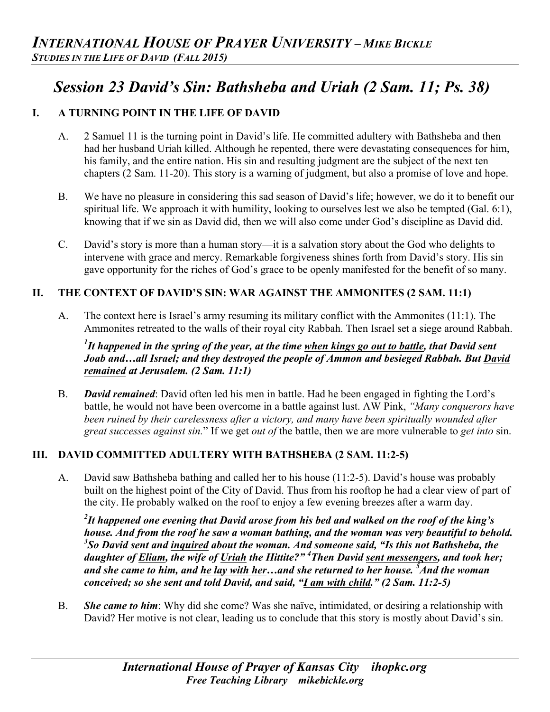# *Session 23 David's Sin: Bathsheba and Uriah (2 Sam. 11; Ps. 38)*

## **I. A TURNING POINT IN THE LIFE OF DAVID**

- A. 2 Samuel 11 is the turning point in David's life. He committed adultery with Bathsheba and then had her husband Uriah killed. Although he repented, there were devastating consequences for him, his family, and the entire nation. His sin and resulting judgment are the subject of the next ten chapters (2 Sam. 11-20). This story is a warning of judgment, but also a promise of love and hope.
- B. We have no pleasure in considering this sad season of David's life; however, we do it to benefit our spiritual life. We approach it with humility, looking to ourselves lest we also be tempted (Gal. 6:1), knowing that if we sin as David did, then we will also come under God's discipline as David did.
- C. David's story is more than a human story—it is a salvation story about the God who delights to intervene with grace and mercy. Remarkable forgiveness shines forth from David's story. His sin gave opportunity for the riches of God's grace to be openly manifested for the benefit of so many.

## **II. THE CONTEXT OF DAVID'S SIN: WAR AGAINST THE AMMONITES (2 SAM. 11:1)**

A. The context here is Israel's army resuming its military conflict with the Ammonites (11:1). The Ammonites retreated to the walls of their royal city Rabbah. Then Israel set a siege around Rabbah.

*1 It happened in the spring of the year, at the time when kings go out to battle, that David sent Joab and…all Israel; and they destroyed the people of Ammon and besieged Rabbah. But David remained at Jerusalem. (2 Sam. 11:1)*

B. *David remained*: David often led his men in battle. Had he been engaged in fighting the Lord's battle, he would not have been overcome in a battle against lust. AW Pink, *"Many conquerors have been ruined by their carelessness after a victory, and many have been spiritually wounded after great successes against sin.*" If we get *out of* the battle, then we are more vulnerable to *get into* sin.

#### **III. DAVID COMMITTED ADULTERY WITH BATHSHEBA (2 SAM. 11:2-5)**

A. David saw Bathsheba bathing and called her to his house (11:2-5). David's house was probably built on the highest point of the City of David. Thus from his rooftop he had a clear view of part of the city. He probably walked on the roof to enjoy a few evening breezes after a warm day.

*2 It happened one evening that David arose from his bed and walked on the roof of the king's house. And from the roof he saw a woman bathing, and the woman was very beautiful to behold. 3 So David sent and inquired about the woman. And someone said, "Is this not Bathsheba, the daughter of Eliam, the wife of Uriah the Hittite?" <sup>4</sup> Then David sent messengers, and took her; and she came to him, and he lay with her…and she returned to her house. 5 And the woman conceived; so she sent and told David, and said, "I am with child." (2 Sam. 11:2-5)*

B. *She came to him*: Why did she come? Was she naïve, intimidated, or desiring a relationship with David? Her motive is not clear, leading us to conclude that this story is mostly about David's sin.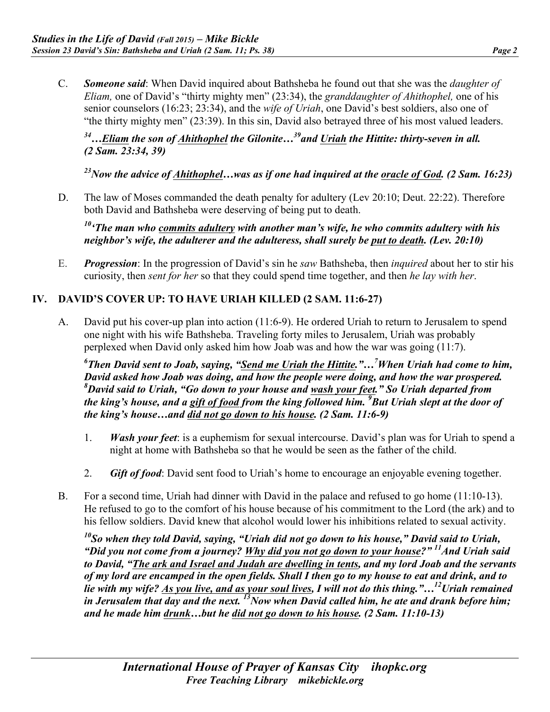- 
- C. *Someone said*: When David inquired about Bathsheba he found out that she was the *daughter of Eliam,* one of David's "thirty mighty men" (23:34), the *granddaughter of Ahithophel,* one of his senior counselors (16:23; 23:34), and the *wife of Uriah*, one David's best soldiers, also one of "the thirty mighty men" (23:39). In this sin, David also betrayed three of his most valued leaders.

### *34…Eliam the son of Ahithophel the Gilonite…39and Uriah the Hittite: thirty-seven in all. (2 Sam. 23:34, 39)*

*23Now the advice of Ahithophel…was as if one had inquired at the oracle of God. (2 Sam. 16:23)*

D. The law of Moses commanded the death penalty for adultery (Lev 20:10; Deut. 22:22). Therefore both David and Bathsheba were deserving of being put to death.

*10'The man who commits adultery with another man's wife, he who commits adultery with his neighbor's wife, the adulterer and the adulteress, shall surely be put to death. (Lev. 20:10)*

E. *Progression*: In the progression of David's sin he *saw* Bathsheba, then *inquired* about her to stir his curiosity, then *sent for her* so that they could spend time together, and then *he lay with her*.

## **IV. DAVID'S COVER UP: TO HAVE URIAH KILLED (2 SAM. 11:6-27)**

A. David put his cover-up plan into action (11:6-9). He ordered Uriah to return to Jerusalem to spend one night with his wife Bathsheba. Traveling forty miles to Jerusalem, Uriah was probably perplexed when David only asked him how Joab was and how the war was going (11:7).

*6 Then David sent to Joab, saying, "Send me Uriah the Hittite."…7 When Uriah had come to him, David asked how Joab was doing, and how the people were doing, and how the war prospered. 8 David said to Uriah, "Go down to your house and wash your feet." So Uriah departed from the king's house, and a gift of food from the king followed him. <sup>9</sup> But Uriah slept at the door of the king's house…and did not go down to his house. (2 Sam. 11:6-9)*

- 1. *Wash your feet*: is a euphemism for sexual intercourse. David's plan was for Uriah to spend a night at home with Bathsheba so that he would be seen as the father of the child.
- 2. *Gift of food*: David sent food to Uriah's home to encourage an enjoyable evening together.
- B. For a second time, Uriah had dinner with David in the palace and refused to go home (11:10-13). He refused to go to the comfort of his house because of his commitment to the Lord (the ark) and to his fellow soldiers. David knew that alcohol would lower his inhibitions related to sexual activity.

*10So when they told David, saying, "Uriah did not go down to his house," David said to Uriah, "Did you not come from a journey? Why did you not go down to your house?" 11And Uriah said to David, "The ark and Israel and Judah are dwelling in tents, and my lord Joab and the servants of my lord are encamped in the open fields. Shall I then go to my house to eat and drink, and to lie with my wife? As you live, and as your soul lives, I will not do this thing."…12Uriah remained*  in Jerusalem that day and the next. <sup>13</sup>Now when David called him, he ate and drank before him; *and he made him drunk…but he did not go down to his house. (2 Sam. 11:10-13)*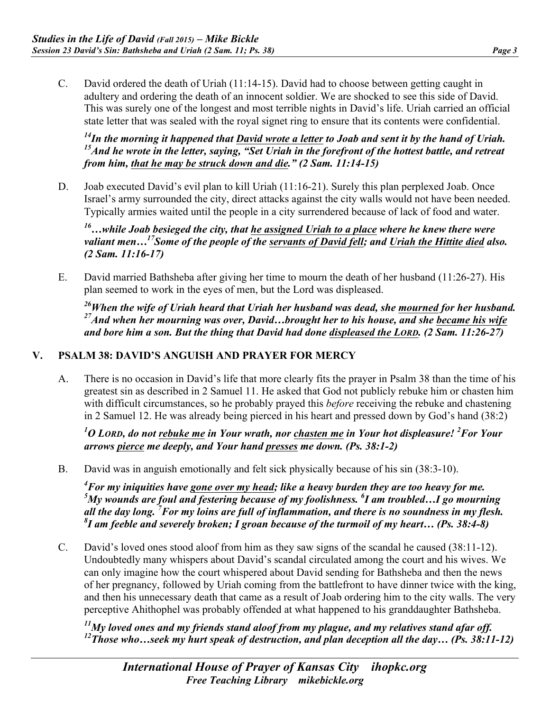C. David ordered the death of Uriah (11:14-15). David had to choose between getting caught in adultery and ordering the death of an innocent soldier. We are shocked to see this side of David. This was surely one of the longest and most terrible nights in David's life. Uriah carried an official state letter that was sealed with the royal signet ring to ensure that its contents were confidential.

*14In the morning it happened that David wrote a letter to Joab and sent it by the hand of Uriah. 15And he wrote in the letter, saying, "Set Uriah in the forefront of the hottest battle, and retreat from him, that he may be struck down and die." (2 Sam. 11:14-15)*

D. Joab executed David's evil plan to kill Uriah (11:16-21). Surely this plan perplexed Joab. Once Israel's army surrounded the city, direct attacks against the city walls would not have been needed. Typically armies waited until the people in a city surrendered because of lack of food and water.

*16…while Joab besieged the city, that he assigned Uriah to a place where he knew there were*  valiant men...<sup>17</sup>Some of the people of the servants of David fell; and Uriah the Hittite died also. *(2 Sam. 11:16-17)*

E. David married Bathsheba after giving her time to mourn the death of her husband (11:26-27). His plan seemed to work in the eyes of men, but the Lord was displeased.

*26When the wife of Uriah heard that Uriah her husband was dead, she mourned for her husband. 27And when her mourning was over, David…brought her to his house, and she became his wife and bore him a son. But the thing that David had done displeased the LORD. (2 Sam. 11:26-27)*

#### **V. PSALM 38: DAVID'S ANGUISH AND PRAYER FOR MERCY**

A. There is no occasion in David's life that more clearly fits the prayer in Psalm 38 than the time of his greatest sin as described in 2 Samuel 11. He asked that God not publicly rebuke him or chasten him with difficult circumstances, so he probably prayed this *before* receiving the rebuke and chastening in 2 Samuel 12. He was already being pierced in his heart and pressed down by God's hand (38:2)

*1 O LORD, do not rebuke me in Your wrath, nor chasten me in Your hot displeasure! <sup>2</sup> For Your arrows pierce me deeply, and Your hand presses me down. (Ps. 38:1-2)*

B. David was in anguish emotionally and felt sick physically because of his sin (38:3-10).

*4 For my iniquities have gone over my head; like a heavy burden they are too heavy for me.*  <sup>5</sup>My wounds are foul and festering because of my foolishness. <sup>6</sup>I am troubled...I go mourning *all the day long. <sup>7</sup> For my loins are full of inflammation, and there is no soundness in my flesh. 8 I am feeble and severely broken; I groan because of the turmoil of my heart… (Ps. 38:4-8)*

C. David's loved ones stood aloof from him as they saw signs of the scandal he caused (38:11-12). Undoubtedly many whispers about David's scandal circulated among the court and his wives. We can only imagine how the court whispered about David sending for Bathsheba and then the news of her pregnancy, followed by Uriah coming from the battlefront to have dinner twice with the king, and then his unnecessary death that came as a result of Joab ordering him to the city walls. The very perceptive Ahithophel was probably offended at what happened to his granddaughter Bathsheba.

*11My loved ones and my friends stand aloof from my plague, and my relatives stand afar off. 12Those who…seek my hurt speak of destruction, and plan deception all the day… (Ps. 38:11-12)*